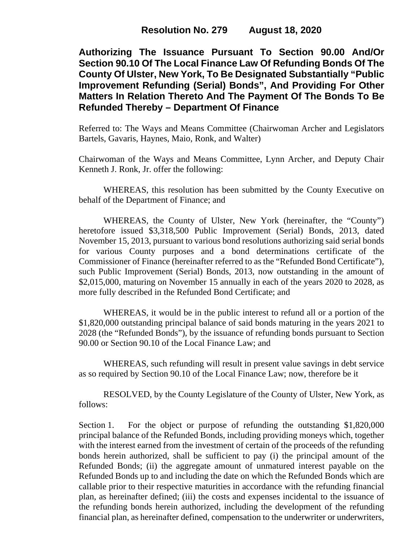**Authorizing The Issuance Pursuant To Section 90.00 And/Or Section 90.10 Of The Local Finance Law Of Refunding Bonds Of The County Of Ulster, New York, To Be Designated Substantially "Public Improvement Refunding (Serial) Bonds", And Providing For Other Matters In Relation Thereto And The Payment Of The Bonds To Be Refunded Thereby – Department Of Finance**

Referred to: The Ways and Means Committee (Chairwoman Archer and Legislators Bartels, Gavaris, Haynes, Maio, Ronk, and Walter)

Chairwoman of the Ways and Means Committee, Lynn Archer, and Deputy Chair Kenneth J. Ronk, Jr. offer the following:

WHEREAS, this resolution has been submitted by the County Executive on behalf of the Department of Finance; and

WHEREAS, the County of Ulster, New York (hereinafter, the "County") heretofore issued \$3,318,500 Public Improvement (Serial) Bonds, 2013, dated November 15, 2013, pursuant to various bond resolutions authorizing said serial bonds for various County purposes and a bond determinations certificate of the Commissioner of Finance (hereinafter referred to as the "Refunded Bond Certificate"), such Public Improvement (Serial) Bonds, 2013, now outstanding in the amount of \$2,015,000, maturing on November 15 annually in each of the years 2020 to 2028, as more fully described in the Refunded Bond Certificate; and

WHEREAS, it would be in the public interest to refund all or a portion of the \$1,820,000 outstanding principal balance of said bonds maturing in the years 2021 to 2028 (the "Refunded Bonds"), by the issuance of refunding bonds pursuant to Section 90.00 or Section 90.10 of the Local Finance Law; and

WHEREAS, such refunding will result in present value savings in debt service as so required by Section 90.10 of the Local Finance Law; now, therefore be it

RESOLVED, by the County Legislature of the County of Ulster, New York, as follows:

Section 1. For the object or purpose of refunding the outstanding \$1,820,000 principal balance of the Refunded Bonds, including providing moneys which, together with the interest earned from the investment of certain of the proceeds of the refunding bonds herein authorized, shall be sufficient to pay (i) the principal amount of the Refunded Bonds; (ii) the aggregate amount of unmatured interest payable on the Refunded Bonds up to and including the date on which the Refunded Bonds which are callable prior to their respective maturities in accordance with the refunding financial plan, as hereinafter defined; (iii) the costs and expenses incidental to the issuance of the refunding bonds herein authorized, including the development of the refunding financial plan, as hereinafter defined, compensation to the underwriter or underwriters,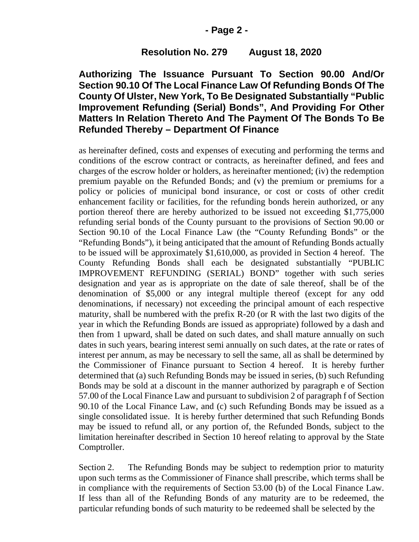### **- Page 2 -**

### **Resolution No. 279 August 18, 2020**

# **Authorizing The Issuance Pursuant To Section 90.00 And/Or Section 90.10 Of The Local Finance Law Of Refunding Bonds Of The County Of Ulster, New York, To Be Designated Substantially "Public Improvement Refunding (Serial) Bonds", And Providing For Other Matters In Relation Thereto And The Payment Of The Bonds To Be Refunded Thereby – Department Of Finance**

as hereinafter defined, costs and expenses of executing and performing the terms and conditions of the escrow contract or contracts, as hereinafter defined, and fees and charges of the escrow holder or holders, as hereinafter mentioned; (iv) the redemption premium payable on the Refunded Bonds; and (v) the premium or premiums for a policy or policies of municipal bond insurance, or cost or costs of other credit enhancement facility or facilities, for the refunding bonds herein authorized, or any portion thereof there are hereby authorized to be issued not exceeding \$1,775,000 refunding serial bonds of the County pursuant to the provisions of Section 90.00 or Section 90.10 of the Local Finance Law (the "County Refunding Bonds" or the "Refunding Bonds"), it being anticipated that the amount of Refunding Bonds actually to be issued will be approximately \$1,610,000, as provided in Section 4 hereof. The County Refunding Bonds shall each be designated substantially "PUBLIC IMPROVEMENT REFUNDING (SERIAL) BOND" together with such series designation and year as is appropriate on the date of sale thereof, shall be of the denomination of \$5,000 or any integral multiple thereof (except for any odd denominations, if necessary) not exceeding the principal amount of each respective maturity, shall be numbered with the prefix R-20 (or R with the last two digits of the year in which the Refunding Bonds are issued as appropriate) followed by a dash and then from 1 upward, shall be dated on such dates, and shall mature annually on such dates in such years, bearing interest semi annually on such dates, at the rate or rates of interest per annum, as may be necessary to sell the same, all as shall be determined by the Commissioner of Finance pursuant to Section 4 hereof. It is hereby further determined that (a) such Refunding Bonds may be issued in series, (b) such Refunding Bonds may be sold at a discount in the manner authorized by paragraph e of Section 57.00 of the Local Finance Law and pursuant to subdivision 2 of paragraph f of Section 90.10 of the Local Finance Law, and (c) such Refunding Bonds may be issued as a single consolidated issue. It is hereby further determined that such Refunding Bonds may be issued to refund all, or any portion of, the Refunded Bonds, subject to the limitation hereinafter described in Section 10 hereof relating to approval by the State Comptroller.

Section 2. The Refunding Bonds may be subject to redemption prior to maturity upon such terms as the Commissioner of Finance shall prescribe, which terms shall be in compliance with the requirements of Section 53.00 (b) of the Local Finance Law. If less than all of the Refunding Bonds of any maturity are to be redeemed, the particular refunding bonds of such maturity to be redeemed shall be selected by the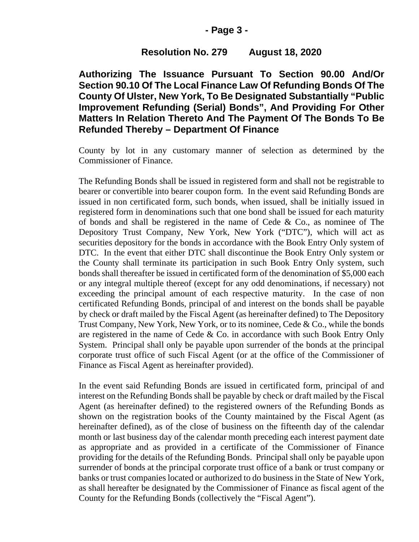### **- Page 3 -**

### **Resolution No. 279 August 18, 2020**

**Authorizing The Issuance Pursuant To Section 90.00 And/Or Section 90.10 Of The Local Finance Law Of Refunding Bonds Of The County Of Ulster, New York, To Be Designated Substantially "Public Improvement Refunding (Serial) Bonds", And Providing For Other Matters In Relation Thereto And The Payment Of The Bonds To Be Refunded Thereby – Department Of Finance**

County by lot in any customary manner of selection as determined by the Commissioner of Finance.

The Refunding Bonds shall be issued in registered form and shall not be registrable to bearer or convertible into bearer coupon form. In the event said Refunding Bonds are issued in non certificated form, such bonds, when issued, shall be initially issued in registered form in denominations such that one bond shall be issued for each maturity of bonds and shall be registered in the name of Cede & Co., as nominee of The Depository Trust Company, New York, New York ("DTC"), which will act as securities depository for the bonds in accordance with the Book Entry Only system of DTC. In the event that either DTC shall discontinue the Book Entry Only system or the County shall terminate its participation in such Book Entry Only system, such bonds shall thereafter be issued in certificated form of the denomination of \$5,000 each or any integral multiple thereof (except for any odd denominations, if necessary) not exceeding the principal amount of each respective maturity. In the case of non certificated Refunding Bonds, principal of and interest on the bonds shall be payable by check or draft mailed by the Fiscal Agent (as hereinafter defined) to The Depository Trust Company, New York, New York, or to its nominee, Cede & Co., while the bonds are registered in the name of Cede & Co. in accordance with such Book Entry Only System. Principal shall only be payable upon surrender of the bonds at the principal corporate trust office of such Fiscal Agent (or at the office of the Commissioner of Finance as Fiscal Agent as hereinafter provided).

In the event said Refunding Bonds are issued in certificated form, principal of and interest on the Refunding Bonds shall be payable by check or draft mailed by the Fiscal Agent (as hereinafter defined) to the registered owners of the Refunding Bonds as shown on the registration books of the County maintained by the Fiscal Agent (as hereinafter defined), as of the close of business on the fifteenth day of the calendar month or last business day of the calendar month preceding each interest payment date as appropriate and as provided in a certificate of the Commissioner of Finance providing for the details of the Refunding Bonds. Principal shall only be payable upon surrender of bonds at the principal corporate trust office of a bank or trust company or banks or trust companies located or authorized to do business in the State of New York, as shall hereafter be designated by the Commissioner of Finance as fiscal agent of the County for the Refunding Bonds (collectively the "Fiscal Agent").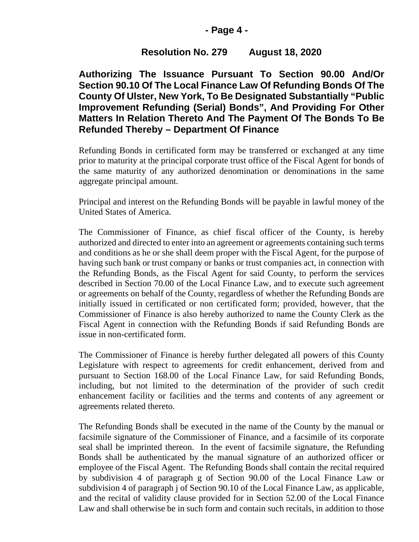## **- Page 4 -**

# **Resolution No. 279 August 18, 2020**

**Authorizing The Issuance Pursuant To Section 90.00 And/Or Section 90.10 Of The Local Finance Law Of Refunding Bonds Of The County Of Ulster, New York, To Be Designated Substantially "Public Improvement Refunding (Serial) Bonds", And Providing For Other Matters In Relation Thereto And The Payment Of The Bonds To Be Refunded Thereby – Department Of Finance**

Refunding Bonds in certificated form may be transferred or exchanged at any time prior to maturity at the principal corporate trust office of the Fiscal Agent for bonds of the same maturity of any authorized denomination or denominations in the same aggregate principal amount.

Principal and interest on the Refunding Bonds will be payable in lawful money of the United States of America.

The Commissioner of Finance, as chief fiscal officer of the County, is hereby authorized and directed to enter into an agreement or agreements containing such terms and conditions as he or she shall deem proper with the Fiscal Agent, for the purpose of having such bank or trust company or banks or trust companies act, in connection with the Refunding Bonds, as the Fiscal Agent for said County, to perform the services described in Section 70.00 of the Local Finance Law, and to execute such agreement or agreements on behalf of the County, regardless of whether the Refunding Bonds are initially issued in certificated or non certificated form; provided, however, that the Commissioner of Finance is also hereby authorized to name the County Clerk as the Fiscal Agent in connection with the Refunding Bonds if said Refunding Bonds are issue in non-certificated form.

The Commissioner of Finance is hereby further delegated all powers of this County Legislature with respect to agreements for credit enhancement, derived from and pursuant to Section 168.00 of the Local Finance Law, for said Refunding Bonds, including, but not limited to the determination of the provider of such credit enhancement facility or facilities and the terms and contents of any agreement or agreements related thereto.

The Refunding Bonds shall be executed in the name of the County by the manual or facsimile signature of the Commissioner of Finance, and a facsimile of its corporate seal shall be imprinted thereon. In the event of facsimile signature, the Refunding Bonds shall be authenticated by the manual signature of an authorized officer or employee of the Fiscal Agent. The Refunding Bonds shall contain the recital required by subdivision 4 of paragraph g of Section 90.00 of the Local Finance Law or subdivision 4 of paragraph j of Section 90.10 of the Local Finance Law, as applicable, and the recital of validity clause provided for in Section 52.00 of the Local Finance Law and shall otherwise be in such form and contain such recitals, in addition to those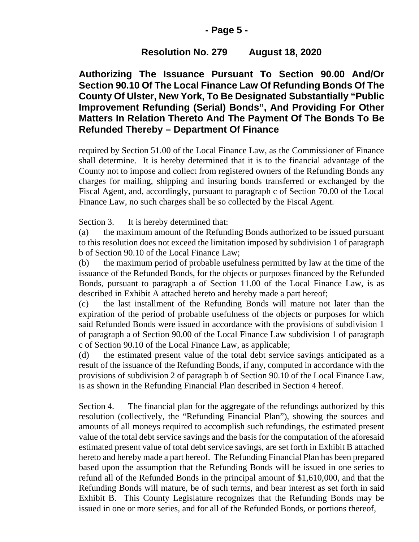## **- Page 5 -**

## **Resolution No. 279 August 18, 2020**

**Authorizing The Issuance Pursuant To Section 90.00 And/Or Section 90.10 Of The Local Finance Law Of Refunding Bonds Of The County Of Ulster, New York, To Be Designated Substantially "Public Improvement Refunding (Serial) Bonds", And Providing For Other Matters In Relation Thereto And The Payment Of The Bonds To Be Refunded Thereby – Department Of Finance**

required by Section 51.00 of the Local Finance Law, as the Commissioner of Finance shall determine. It is hereby determined that it is to the financial advantage of the County not to impose and collect from registered owners of the Refunding Bonds any charges for mailing, shipping and insuring bonds transferred or exchanged by the Fiscal Agent, and, accordingly, pursuant to paragraph c of Section 70.00 of the Local Finance Law, no such charges shall be so collected by the Fiscal Agent.

Section 3. It is hereby determined that:

(a) the maximum amount of the Refunding Bonds authorized to be issued pursuant to this resolution does not exceed the limitation imposed by subdivision 1 of paragraph b of Section 90.10 of the Local Finance Law;

(b) the maximum period of probable usefulness permitted by law at the time of the issuance of the Refunded Bonds, for the objects or purposes financed by the Refunded Bonds, pursuant to paragraph a of Section 11.00 of the Local Finance Law, is as described in Exhibit A attached hereto and hereby made a part hereof;

(c) the last installment of the Refunding Bonds will mature not later than the expiration of the period of probable usefulness of the objects or purposes for which said Refunded Bonds were issued in accordance with the provisions of subdivision 1 of paragraph a of Section 90.00 of the Local Finance Law subdivision 1 of paragraph c of Section 90.10 of the Local Finance Law, as applicable;

(d) the estimated present value of the total debt service savings anticipated as a result of the issuance of the Refunding Bonds, if any, computed in accordance with the provisions of subdivision 2 of paragraph b of Section 90.10 of the Local Finance Law, is as shown in the Refunding Financial Plan described in Section 4 hereof.

Section 4. The financial plan for the aggregate of the refundings authorized by this resolution (collectively, the "Refunding Financial Plan"), showing the sources and amounts of all moneys required to accomplish such refundings, the estimated present value of the total debt service savings and the basis for the computation of the aforesaid estimated present value of total debt service savings, are set forth in Exhibit B attached hereto and hereby made a part hereof. The Refunding Financial Plan has been prepared based upon the assumption that the Refunding Bonds will be issued in one series to refund all of the Refunded Bonds in the principal amount of \$1,610,000, and that the Refunding Bonds will mature, be of such terms, and bear interest as set forth in said Exhibit B. This County Legislature recognizes that the Refunding Bonds may be issued in one or more series, and for all of the Refunded Bonds, or portions thereof,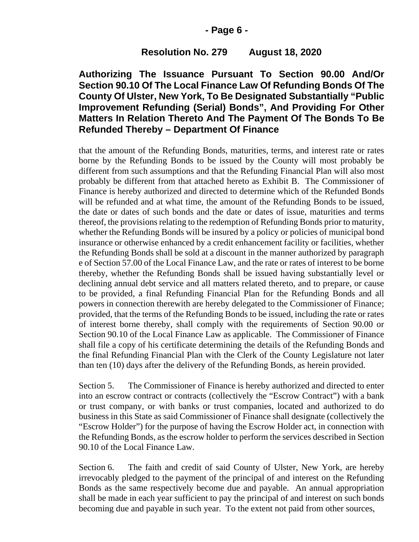### **- Page 6 -**

## **Resolution No. 279 August 18, 2020**

# **Authorizing The Issuance Pursuant To Section 90.00 And/Or Section 90.10 Of The Local Finance Law Of Refunding Bonds Of The County Of Ulster, New York, To Be Designated Substantially "Public Improvement Refunding (Serial) Bonds", And Providing For Other Matters In Relation Thereto And The Payment Of The Bonds To Be Refunded Thereby – Department Of Finance**

that the amount of the Refunding Bonds, maturities, terms, and interest rate or rates borne by the Refunding Bonds to be issued by the County will most probably be different from such assumptions and that the Refunding Financial Plan will also most probably be different from that attached hereto as Exhibit B. The Commissioner of Finance is hereby authorized and directed to determine which of the Refunded Bonds will be refunded and at what time, the amount of the Refunding Bonds to be issued, the date or dates of such bonds and the date or dates of issue, maturities and terms thereof, the provisions relating to the redemption of Refunding Bonds prior to maturity, whether the Refunding Bonds will be insured by a policy or policies of municipal bond insurance or otherwise enhanced by a credit enhancement facility or facilities, whether the Refunding Bonds shall be sold at a discount in the manner authorized by paragraph e of Section 57.00 of the Local Finance Law, and the rate or rates of interest to be borne thereby, whether the Refunding Bonds shall be issued having substantially level or declining annual debt service and all matters related thereto, and to prepare, or cause to be provided, a final Refunding Financial Plan for the Refunding Bonds and all powers in connection therewith are hereby delegated to the Commissioner of Finance; provided, that the terms of the Refunding Bonds to be issued, including the rate or rates of interest borne thereby, shall comply with the requirements of Section 90.00 or Section 90.10 of the Local Finance Law as applicable. The Commissioner of Finance shall file a copy of his certificate determining the details of the Refunding Bonds and the final Refunding Financial Plan with the Clerk of the County Legislature not later than ten (10) days after the delivery of the Refunding Bonds, as herein provided.

Section 5. The Commissioner of Finance is hereby authorized and directed to enter into an escrow contract or contracts (collectively the "Escrow Contract") with a bank or trust company, or with banks or trust companies, located and authorized to do business in this State as said Commissioner of Finance shall designate (collectively the "Escrow Holder") for the purpose of having the Escrow Holder act, in connection with the Refunding Bonds, as the escrow holder to perform the services described in Section 90.10 of the Local Finance Law.

Section 6. The faith and credit of said County of Ulster, New York, are hereby irrevocably pledged to the payment of the principal of and interest on the Refunding Bonds as the same respectively become due and payable. An annual appropriation shall be made in each year sufficient to pay the principal of and interest on such bonds becoming due and payable in such year. To the extent not paid from other sources,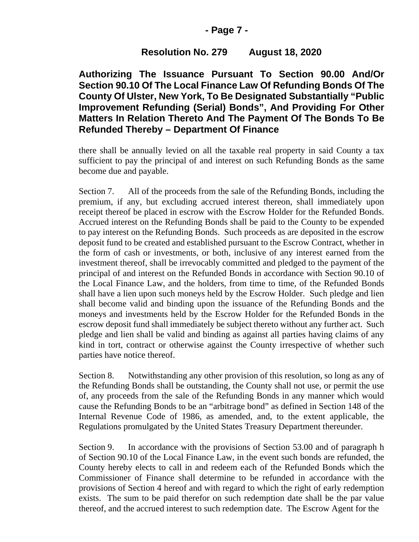## **- Page 7 -**

# **Resolution No. 279 August 18, 2020**

**Authorizing The Issuance Pursuant To Section 90.00 And/Or Section 90.10 Of The Local Finance Law Of Refunding Bonds Of The County Of Ulster, New York, To Be Designated Substantially "Public Improvement Refunding (Serial) Bonds", And Providing For Other Matters In Relation Thereto And The Payment Of The Bonds To Be Refunded Thereby – Department Of Finance**

there shall be annually levied on all the taxable real property in said County a tax sufficient to pay the principal of and interest on such Refunding Bonds as the same become due and payable.

Section 7. All of the proceeds from the sale of the Refunding Bonds, including the premium, if any, but excluding accrued interest thereon, shall immediately upon receipt thereof be placed in escrow with the Escrow Holder for the Refunded Bonds. Accrued interest on the Refunding Bonds shall be paid to the County to be expended to pay interest on the Refunding Bonds. Such proceeds as are deposited in the escrow deposit fund to be created and established pursuant to the Escrow Contract, whether in the form of cash or investments, or both, inclusive of any interest earned from the investment thereof, shall be irrevocably committed and pledged to the payment of the principal of and interest on the Refunded Bonds in accordance with Section 90.10 of the Local Finance Law, and the holders, from time to time, of the Refunded Bonds shall have a lien upon such moneys held by the Escrow Holder. Such pledge and lien shall become valid and binding upon the issuance of the Refunding Bonds and the moneys and investments held by the Escrow Holder for the Refunded Bonds in the escrow deposit fund shall immediately be subject thereto without any further act. Such pledge and lien shall be valid and binding as against all parties having claims of any kind in tort, contract or otherwise against the County irrespective of whether such parties have notice thereof.

Section 8. Notwithstanding any other provision of this resolution, so long as any of the Refunding Bonds shall be outstanding, the County shall not use, or permit the use of, any proceeds from the sale of the Refunding Bonds in any manner which would cause the Refunding Bonds to be an "arbitrage bond" as defined in Section 148 of the Internal Revenue Code of 1986, as amended, and, to the extent applicable, the Regulations promulgated by the United States Treasury Department thereunder.

Section 9. In accordance with the provisions of Section 53.00 and of paragraph h of Section 90.10 of the Local Finance Law, in the event such bonds are refunded, the County hereby elects to call in and redeem each of the Refunded Bonds which the Commissioner of Finance shall determine to be refunded in accordance with the provisions of Section 4 hereof and with regard to which the right of early redemption exists. The sum to be paid therefor on such redemption date shall be the par value thereof, and the accrued interest to such redemption date. The Escrow Agent for the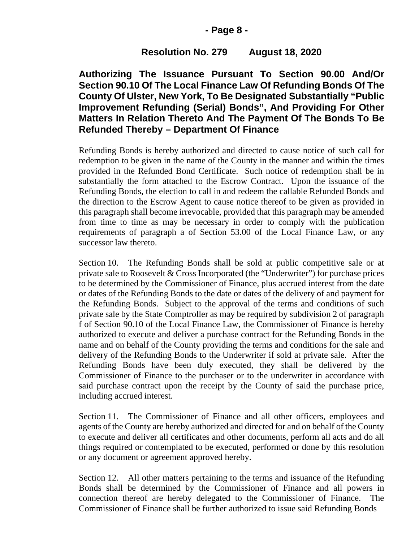## **- Page 8 -**

# **Resolution No. 279 August 18, 2020**

**Authorizing The Issuance Pursuant To Section 90.00 And/Or Section 90.10 Of The Local Finance Law Of Refunding Bonds Of The County Of Ulster, New York, To Be Designated Substantially "Public Improvement Refunding (Serial) Bonds", And Providing For Other Matters In Relation Thereto And The Payment Of The Bonds To Be Refunded Thereby – Department Of Finance**

Refunding Bonds is hereby authorized and directed to cause notice of such call for redemption to be given in the name of the County in the manner and within the times provided in the Refunded Bond Certificate. Such notice of redemption shall be in substantially the form attached to the Escrow Contract. Upon the issuance of the Refunding Bonds, the election to call in and redeem the callable Refunded Bonds and the direction to the Escrow Agent to cause notice thereof to be given as provided in this paragraph shall become irrevocable, provided that this paragraph may be amended from time to time as may be necessary in order to comply with the publication requirements of paragraph a of Section 53.00 of the Local Finance Law, or any successor law thereto.

Section 10. The Refunding Bonds shall be sold at public competitive sale or at private sale to Roosevelt & Cross Incorporated (the "Underwriter") for purchase prices to be determined by the Commissioner of Finance, plus accrued interest from the date or dates of the Refunding Bonds to the date or dates of the delivery of and payment for the Refunding Bonds. Subject to the approval of the terms and conditions of such private sale by the State Comptroller as may be required by subdivision 2 of paragraph f of Section 90.10 of the Local Finance Law, the Commissioner of Finance is hereby authorized to execute and deliver a purchase contract for the Refunding Bonds in the name and on behalf of the County providing the terms and conditions for the sale and delivery of the Refunding Bonds to the Underwriter if sold at private sale. After the Refunding Bonds have been duly executed, they shall be delivered by the Commissioner of Finance to the purchaser or to the underwriter in accordance with said purchase contract upon the receipt by the County of said the purchase price, including accrued interest.

Section 11. The Commissioner of Finance and all other officers, employees and agents of the County are hereby authorized and directed for and on behalf of the County to execute and deliver all certificates and other documents, perform all acts and do all things required or contemplated to be executed, performed or done by this resolution or any document or agreement approved hereby.

Section 12. All other matters pertaining to the terms and issuance of the Refunding Bonds shall be determined by the Commissioner of Finance and all powers in connection thereof are hereby delegated to the Commissioner of Finance. The Commissioner of Finance shall be further authorized to issue said Refunding Bonds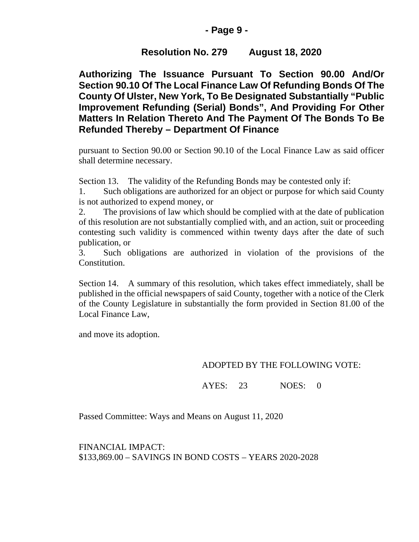## **- Page 9 -**

# **Resolution No. 279 August 18, 2020**

**Authorizing The Issuance Pursuant To Section 90.00 And/Or Section 90.10 Of The Local Finance Law Of Refunding Bonds Of The County Of Ulster, New York, To Be Designated Substantially "Public Improvement Refunding (Serial) Bonds", And Providing For Other Matters In Relation Thereto And The Payment Of The Bonds To Be Refunded Thereby – Department Of Finance**

pursuant to Section 90.00 or Section 90.10 of the Local Finance Law as said officer shall determine necessary.

Section 13. The validity of the Refunding Bonds may be contested only if:

1. Such obligations are authorized for an object or purpose for which said County is not authorized to expend money, or

2. The provisions of law which should be complied with at the date of publication of this resolution are not substantially complied with, and an action, suit or proceeding contesting such validity is commenced within twenty days after the date of such publication, or

3. Such obligations are authorized in violation of the provisions of the Constitution.

Section 14. A summary of this resolution, which takes effect immediately, shall be published in the official newspapers of said County, together with a notice of the Clerk of the County Legislature in substantially the form provided in Section 81.00 of the Local Finance Law,

and move its adoption.

# ADOPTED BY THE FOLLOWING VOTE:

AYES: 23 NOES: 0

Passed Committee: Ways and Means on August 11, 2020

FINANCIAL IMPACT: \$133,869.00 – SAVINGS IN BOND COSTS – YEARS 2020-2028